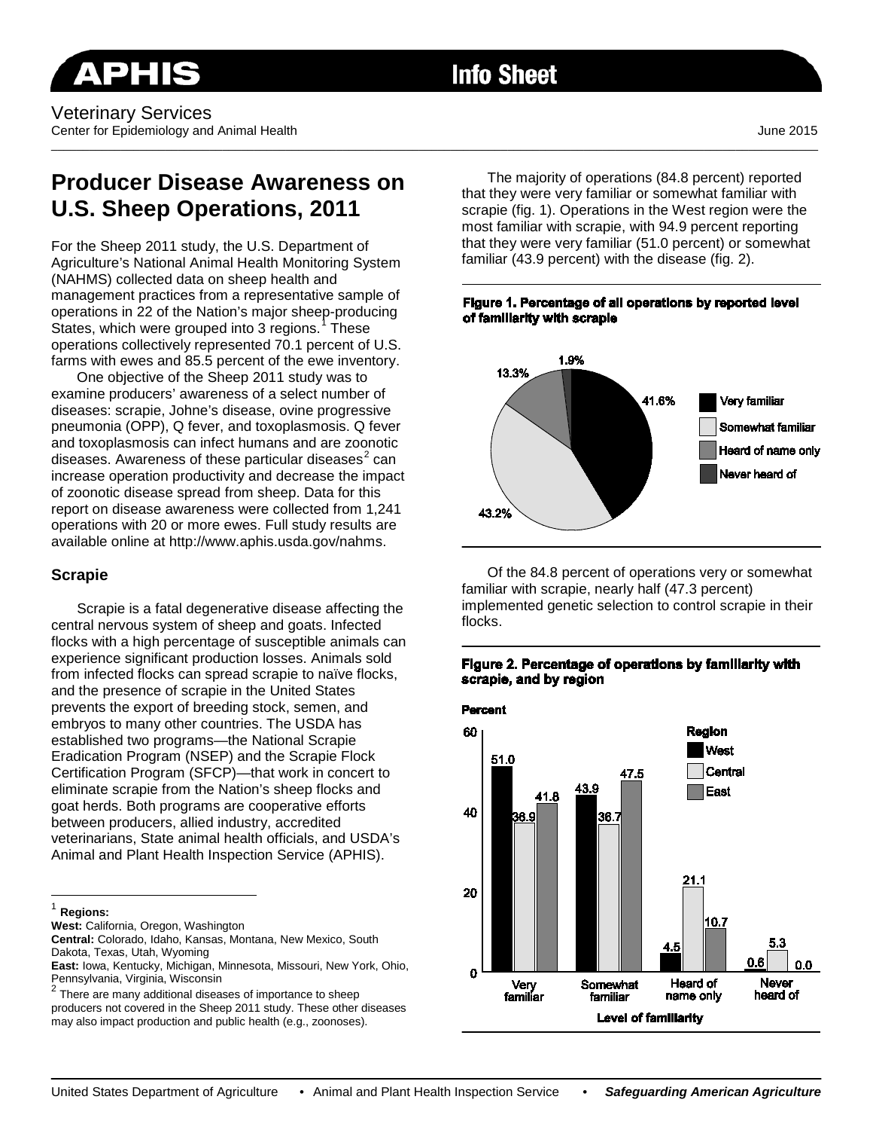# **Info Sheet**

\_\_\_\_\_\_\_\_\_\_\_\_\_\_\_\_\_\_\_\_\_\_\_\_\_\_\_\_\_\_\_\_\_\_\_\_\_\_\_\_\_\_\_\_\_\_\_\_\_\_\_\_\_\_\_\_\_\_\_\_\_\_\_\_\_\_\_\_\_\_\_\_\_\_\_\_\_\_\_\_\_\_\_\_\_\_\_\_\_\_\_\_\_\_\_\_\_\_\_\_\_\_\_\_\_\_\_\_\_\_\_\_\_\_\_\_\_\_\_\_\_

## **Producer Disease Awareness on U.S. Sheep Operations, 2011**

For the Sheep 2011 study, the U.S. Department of Agriculture's National Animal Health Monitoring System (NAHMS) collected data on sheep health and management practices from a representative sample of operations in 22 of the Nation's major sheep-producing States, which were grouped into 3 regions.<sup>[1](#page-0-0)</sup> These operations collectively represented 70.1 percent of U.S. farms with ewes and 85.5 percent of the ewe inventory.

One objective of the Sheep 2011 study was to examine producers' awareness of a select number of diseases: scrapie, Johne's disease, ovine progressive pneumonia (OPP), Q fever, and toxoplasmosis. Q fever and toxoplasmosis can infect humans and are zoonotic diseases. Awareness of these particular diseases $<sup>2</sup>$  $<sup>2</sup>$  $<sup>2</sup>$  can</sup> increase operation productivity and decrease the impact of zoonotic disease spread from sheep. Data for this report on disease awareness were collected from 1,241 operations with 20 or more ewes. Full study results are available online at http://www.aphis.usda.gov/nahms.

#### **Scrapie**

Scrapie is a fatal degenerative disease affecting the central nervous system of sheep and goats. Infected flocks with a high percentage of susceptible animals can experience significant production losses. Animals sold from infected flocks can spread scrapie to naïve flocks, and the presence of scrapie in the United States prevents the export of breeding stock, semen, and embryos to many other countries. The USDA has established two programs—the National Scrapie Eradication Program (NSEP) and the Scrapie Flock Certification Program (SFCP)—that work in concert to eliminate scrapie from the Nation's sheep flocks and goat herds. Both programs are cooperative efforts between producers, allied industry, accredited veterinarians, State animal health officials, and USDA's Animal and Plant Health Inspection Service (APHIS).

<span id="page-0-0"></span><sup>1</sup> **Regions:**

 $\overline{\phantom{a}}$ 

**West:** California, Oregon, Washington

<span id="page-0-1"></span> $2$  There are many additional diseases of importance to sheep producers not covered in the Sheep 2011 study. These other diseases may also impact production and public health (e.g., zoonoses).

The majority of operations (84.8 percent) reported that they were very familiar or somewhat familiar with scrapie (fig. 1). Operations in the West region were the most familiar with scrapie, with 94.9 percent reporting that they were very familiar (51.0 percent) or somewhat familiar (43.9 percent) with the disease (fig. 2).

#### Figure 1. Percentage of all operations by reported level of familiarity with scrapie



Of the 84.8 percent of operations very or somewhat familiar with scrapie, nearly half (47.3 percent) implemented genetic selection to control scrapie in their flocks.

## Figure 2. Percentage of operations by familiarity with scrapie, and by region



**Central:** Colorado, Idaho, Kansas, Montana, New Mexico, South Dakota, Texas, Utah, Wyoming

**East:** Iowa, Kentucky, Michigan, Minnesota, Missouri, New York, Ohio, Pennsylvania, Virginia, Wisconsin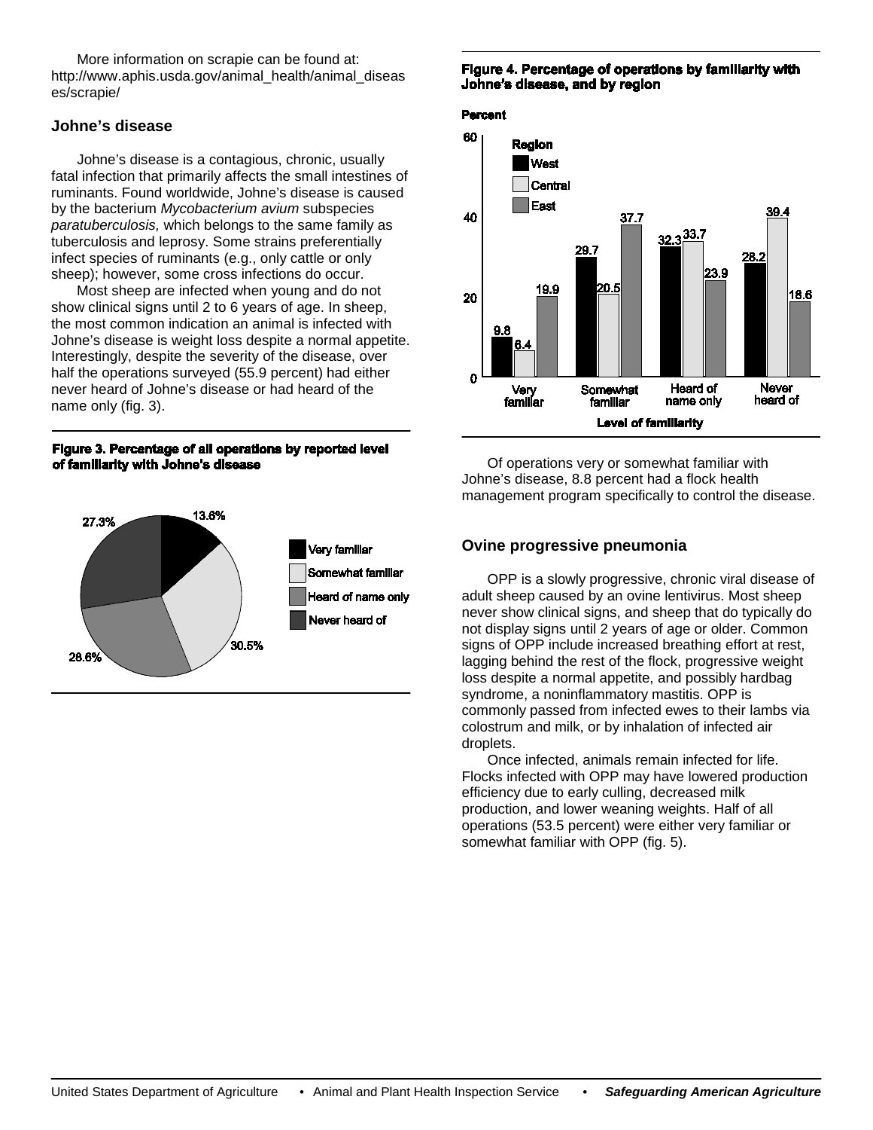More information on scrapie can be found at: http://www.aphis.usda.gov/animal\_health/animal\_diseas es/scrapie/

## **Johne's disease**

Johne's disease is a contagious, chronic, usually fatal infection that primarily affects the small intestines of ruminants. Found worldwide, Johne's disease is caused by the bacterium *Mycobacterium avium* subspecies *paratuberculosis,* which belongs to the same family as tuberculosis and leprosy. Some strains preferentially infect species of ruminants (e.g., only cattle or only sheep); however, some cross infections do occur.

Most sheep are infected when young and do not show clinical signs until 2 to 6 years of age. In sheep, the most common indication an animal is infected with Johne's disease is weight loss despite a normal appetite. Interestingly, despite the severity of the disease, over half the operations surveyed (55.9 percent) had either never heard of Johne's disease or had heard of the name only (fig. 3).

#### Figure 3. Percentage of all operations by reported level of familiarity with Johne's disease



#### Figure 4. Percentage of operations by familiarity with Johne's disease, and by region

#### **Percent**



Of operations very or somewhat familiar with Johne's disease, 8.8 percent had a flock health management program specifically to control the disease.

## **Ovine progressive pneumonia**

OPP is a slowly progressive, chronic viral disease of adult sheep caused by an ovine lentivirus. Most sheep never show clinical signs, and sheep that do typically do not display signs until 2 years of age or older. Common signs of OPP include increased breathing effort at rest, lagging behind the rest of the flock, progressive weight loss despite a normal appetite, and possibly hardbag syndrome, a noninflammatory mastitis. OPP is commonly passed from infected ewes to their lambs via colostrum and milk, or by inhalation of infected air droplets.

Once infected, animals remain infected for life. Flocks infected with OPP may have lowered production efficiency due to early culling, decreased milk production, and lower weaning weights. Half of all operations (53.5 percent) were either very familiar or somewhat familiar with OPP (fig. 5).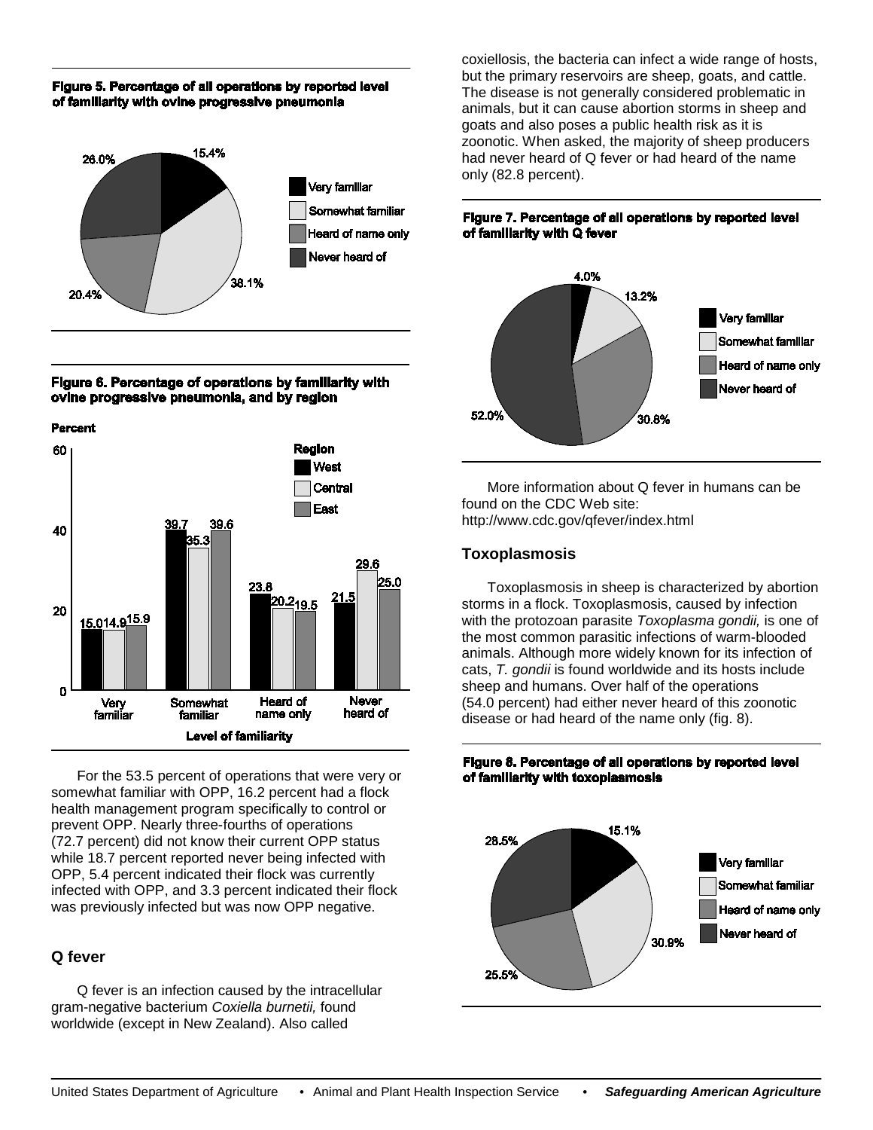#### Figure 5. Percentage of all operations by reported level of familiarity with ovine progressive pneumonia



#### Figure 6. Percentage of operations by familiarity with ovine progressive pneumonia, and by region





For the 53.5 percent of operations that were very or somewhat familiar with OPP, 16.2 percent had a flock health management program specifically to control or prevent OPP. Nearly three-fourths of operations (72.7 percent) did not know their current OPP status while 18.7 percent reported never being infected with OPP, 5.4 percent indicated their flock was currently infected with OPP, and 3.3 percent indicated their flock was previously infected but was now OPP negative.

## **Q fever**

Q fever is an infection caused by the intracellular gram-negative bacterium *Coxiella burnetii,* found worldwide (except in New Zealand). Also called

coxiellosis, the bacteria can infect a wide range of hosts, but the primary reservoirs are sheep, goats, and cattle. The disease is not generally considered problematic in animals, but it can cause abortion storms in sheep and goats and also poses a public health risk as it is zoonotic. When asked, the majority of sheep producers had never heard of Q fever or had heard of the name only (82.8 percent).

#### Figure 7. Percentage of all operations by reported level of familiarity with Q fever



More information about Q fever in humans can be found on the CDC Web site: http://www.cdc.gov/qfever/index.html

## **Toxoplasmosis**

Toxoplasmosis in sheep is characterized by abortion storms in a flock. Toxoplasmosis, caused by infection with the protozoan parasite *Toxoplasma gondii,* is one of the most common parasitic infections of warm-blooded animals. Although more widely known for its infection of cats, *T. gondii* is found worldwide and its hosts include sheep and humans. Over half of the operations (54.0 percent) had either never heard of this zoonotic disease or had heard of the name only (fig. 8).

#### Figure 8. Percentage of all operations by reported level of familiarity with toxoplasmosis